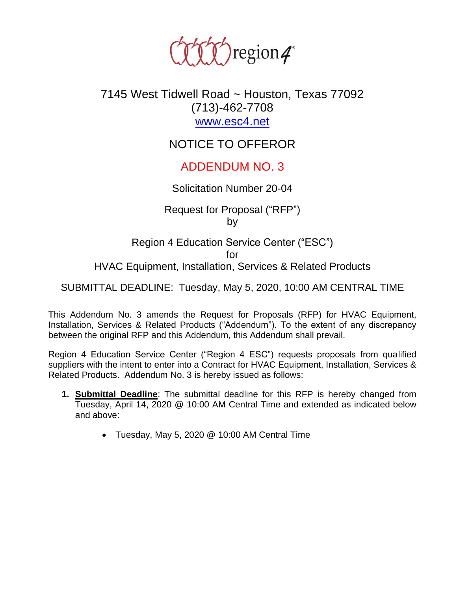

## 7145 West Tidwell Road ~ Houston, Texas 77092 (713)-462-7708 [www.esc4.net](http://www.esc4.net/)

# NOTICE TO OFFEROR

## ADDENDUM NO. 3

#### Solicitation Number 20-04

Request for Proposal ("RFP") by

Region 4 Education Service Center ("ESC") for HVAC Equipment, Installation, Services & Related Products

SUBMITTAL DEADLINE: Tuesday, May 5, 2020, 10:00 AM CENTRAL TIME

This Addendum No. 3 amends the Request for Proposals (RFP) for HVAC Equipment, Installation, Services & Related Products ("Addendum"). To the extent of any discrepancy between the original RFP and this Addendum, this Addendum shall prevail.

Region 4 Education Service Center ("Region 4 ESC") requests proposals from qualified suppliers with the intent to enter into a Contract for HVAC Equipment, Installation, Services & Related Products. Addendum No. 3 is hereby issued as follows:

- **1. Submittal Deadline**: The submittal deadline for this RFP is hereby changed from Tuesday, April 14, 2020 @ 10:00 AM Central Time and extended as indicated below and above:
	- Tuesday, May 5, 2020 @ 10:00 AM Central Time